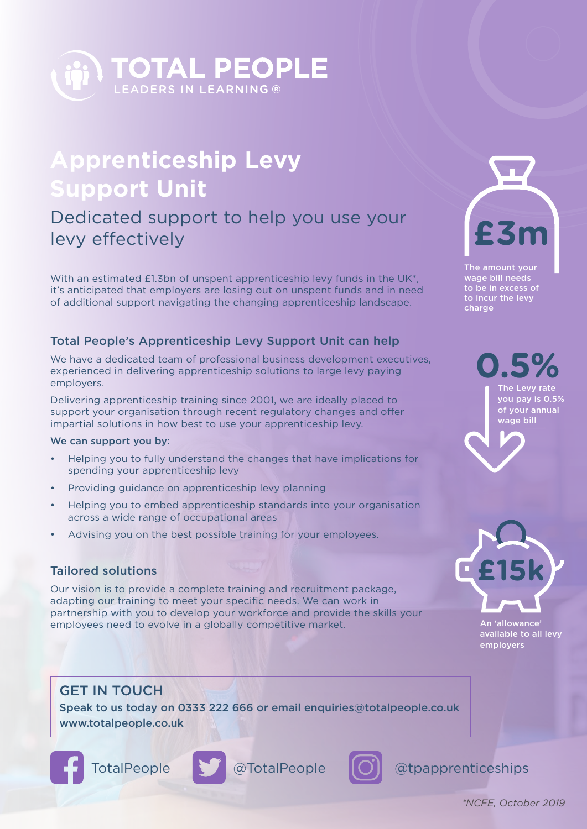

## **Apprenticeship Levy Support Unit**

### Dedicated support to help you use your levy effectively

With an estimated £1.3bn of unspent apprenticeship levy funds in the UK<sup>\*</sup>. it's anticipated that employers are losing out on unspent funds and in need of additional support navigating the changing apprenticeship landscape.

#### Total People's Apprenticeship Levy Support Unit can help

We have a dedicated team of professional business development executives, experienced in delivering apprenticeship solutions to large levy paying employers.

Delivering apprenticeship training since 2001, we are ideally placed to support your organisation through recent regulatory changes and offer impartial solutions in how best to use your apprenticeship levy.

#### We can support you by:

- Helping you to fully understand the changes that have implications for spending your apprenticeship levy
- Providing guidance on apprenticeship levy planning
- Helping you to embed apprenticeship standards into your organisation across a wide range of occupational areas
- Advising you on the best possible training for your employees.

#### Tailored solutions

Our vision is to provide a complete training and recruitment package, adapting our training to meet your specific needs. We can work in partnership with you to develop your workforce and provide the skills your employees need to evolve in a globally competitive market.

#### GET IN TOUCH

Speak to us today on 0333 222 666 or email enquiries@totalpeople.co.uk www.totalpeople.co.uk









TotalPeople @TotalPeople @tpapprenticeships



The amount your wage bill needs to be in excess of to incur the levy charge

> **0.5%** The Levy rate you pay is 0.5% of your annual wage bill

**£15k**

An 'allowance' available to all levy employers